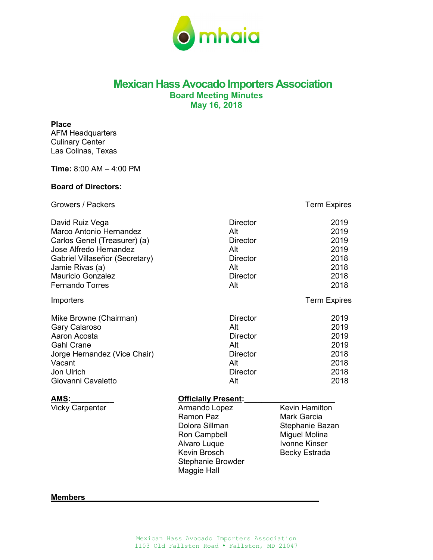

# **Mexican Hass Avocado Importers Association Board Meeting Minutes May 16, 2018**

### **Place**

AFM Headquarters Culinary Center Las Colinas, Texas

**Time:** 8:00 AM – 4:00 PM

# **Board of Directors:**

Growers / Packers Term Expires

Vicky Carpenter **Armando Lopez** Kevin Hamilton Ramon Paz Mark Garcia Ron Campbell Miguel Molina<br>Alvaro Luque Mille Nonne Kinser Alvaro Luque<br>Kevin Brosch Stephanie Browder Maggie Hall

Stephanie Bazan<br>Miguel Molina Becky Estrada

### **Members\_\_\_\_\_\_\_\_\_\_\_\_\_\_\_\_\_\_\_\_\_\_\_\_\_\_\_\_\_\_\_\_\_\_\_\_\_\_\_\_\_\_\_\_\_\_\_\_\_\_\_\_\_\_**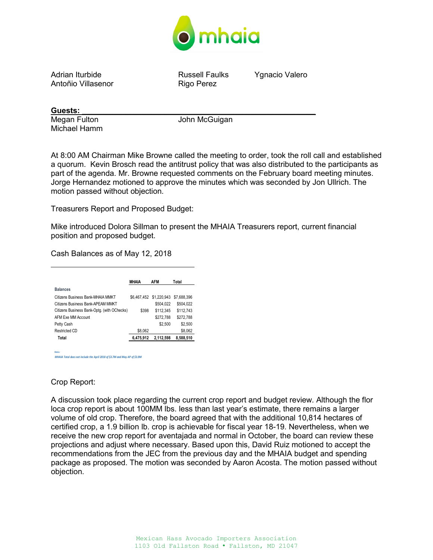

Adrian Iturbide Russell Faulks Ygnacio Valero Antoñio Villasenor

**Guests: \_\_\_\_\_\_\_\_\_\_\_\_\_\_\_\_\_\_\_\_\_\_\_\_\_\_\_\_\_\_\_\_\_\_\_\_\_\_\_\_\_\_\_\_\_\_\_\_\_\_\_\_\_\_**

Michael Hamm

Megan Fulton **Music Communist Communist Communist Communist Communist Communist Communist Communist Communist Communist Communist Communist Communist Communist Communist Communist Communist Communist Communist Communist Co** 

At 8:00 AM Chairman Mike Browne called the meeting to order, took the roll call and established a quorum. Kevin Brosch read the antitrust policy that was also distributed to the participants as part of the agenda. Mr. Browne requested comments on the February board meeting minutes. Jorge Hernandez motioned to approve the minutes which was seconded by Jon Ullrich. The motion passed without objection.

Treasurers Report and Proposed Budget:

Mike introduced Dolora Sillman to present the MHAIA Treasurers report, current financial position and proposed budget.

Cash Balances as of May 12, 2018

|                                             | MHAIA       | <b>AFM</b>  | Total       |
|---------------------------------------------|-------------|-------------|-------------|
| <b>Balances</b>                             |             |             |             |
| Citizens Business Bank-MHAIA MMKT           | \$6.467.452 | \$1,220,943 | \$7.688.396 |
| Citizens Business Bank-APFAM MMKT           |             | \$504.022   | \$504.022   |
| Citizens Business Bank-Optg. (with OChecks) | \$398       | \$112.345   | \$112.743   |
| AFM Fxe MM Account                          |             | \$272.788   | \$272.788   |
| Petty Cash                                  |             | \$2,500     | \$2,500     |
| Restricted CD                               | \$8,062     |             | \$8,062     |
| Total                                       | 6,475,912   | 2.112.598   | 8,588,510   |

*Notes: MHAIA Total does not include the April 2018 of \$3.7M and May AP of \$3.9M*

# Crop Report:

A discussion took place regarding the current crop report and budget review. Although the flor loca crop report is about 100MM lbs. less than last year's estimate, there remains a larger volume of old crop. Therefore, the board agreed that with the additional 10,814 hectares of certified crop, a 1.9 billion lb. crop is achievable for fiscal year 18-19. Nevertheless, when we receive the new crop report for aventajada and normal in October, the board can review these projections and adjust where necessary. Based upon this, David Ruiz motioned to accept the recommendations from the JEC from the previous day and the MHAIA budget and spending package as proposed. The motion was seconded by Aaron Acosta. The motion passed without objection.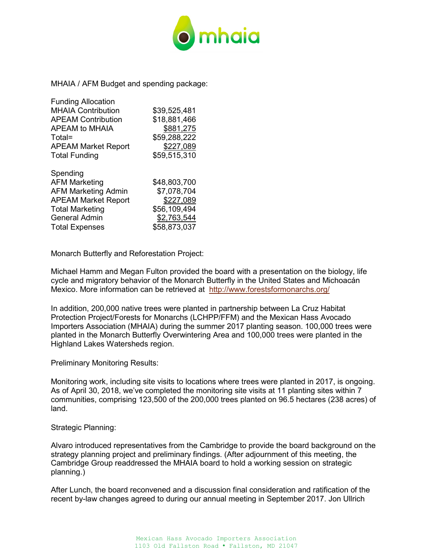

MHAIA / AFM Budget and spending package:

| <b>Funding Allocation</b>  |              |
|----------------------------|--------------|
| <b>MHAIA Contribution</b>  | \$39,525,481 |
| <b>APEAM Contribution</b>  | \$18,881,466 |
| APEAM to MHAIA             | \$881,275    |
| Total=                     | \$59,288,222 |
| <b>APEAM Market Report</b> | \$227,089    |
| <b>Total Funding</b>       | \$59,515,310 |
| Spending                   |              |
| <b>AFM Marketing</b>       | \$48,803,700 |
| <b>AFM Marketing Admin</b> | \$7,078,704  |
| <b>APEAM Market Report</b> | \$227,089    |
| <b>Total Marketing</b>     | \$56,109,494 |
| <b>General Admin</b>       | \$2,763,544  |
| <b>Total Expenses</b>      | \$58,873,037 |

Monarch Butterfly and Reforestation Project:

Michael Hamm and Megan Fulton provided the board with a presentation on the biology, life cycle and migratory behavior of the Monarch Butterfly in the United States and Michoacán Mexico. More information can be retrieved at <http://www.forestsformonarchs.org/>

In addition, 200,000 native trees were planted in partnership between La Cruz Habitat Protection Project/Forests for Monarchs (LCHPP/FFM) and the Mexican Hass Avocado Importers Association (MHAIA) during the summer 2017 planting season. 100,000 trees were planted in the Monarch Butterfly Overwintering Area and 100,000 trees were planted in the Highland Lakes Watersheds region.

Preliminary Monitoring Results:

Monitoring work, including site visits to locations where trees were planted in 2017, is ongoing. As of April 30, 2018, we've completed the monitoring site visits at 11 planting sites within 7 communities, comprising 123,500 of the 200,000 trees planted on 96.5 hectares (238 acres) of land.

# Strategic Planning:

Alvaro introduced representatives from the Cambridge to provide the board background on the strategy planning project and preliminary findings. (After adjournment of this meeting, the Cambridge Group readdressed the MHAIA board to hold a working session on strategic planning.)

After Lunch, the board reconvened and a discussion final consideration and ratification of the recent by-law changes agreed to during our annual meeting in September 2017. Jon Ullrich